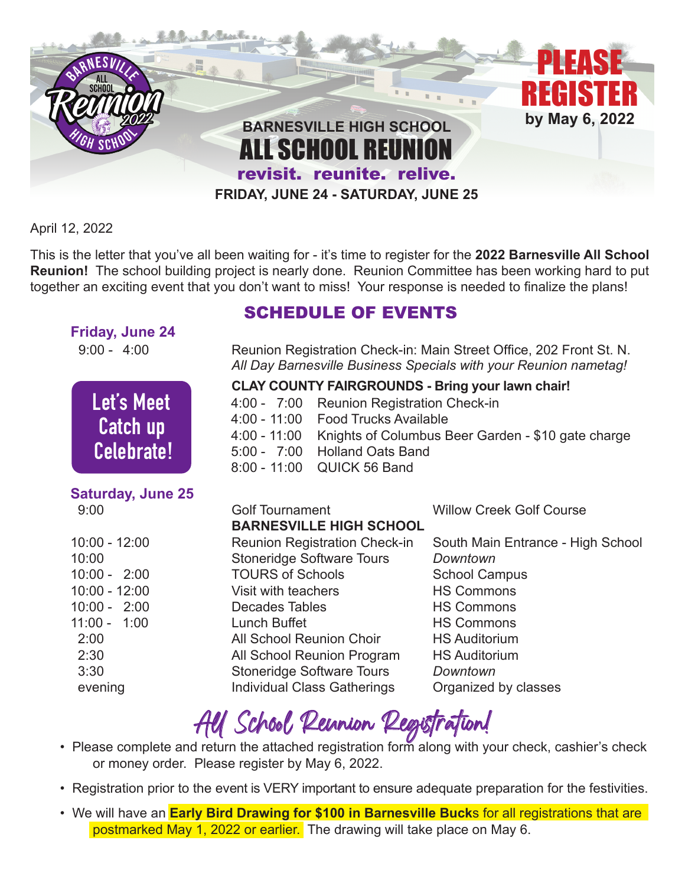

April 12, 2022

This is the letter that you've all been waiting for - it's time to register for the **2022 Barnesville All School Reunion!** The school building project is nearly done. Reunion Committee has been working hard to put together an exciting event that you don't want to miss! Your response is needed to finalize the plans!

#### **Friday, June 24**



# **Saturday, June 25**

| 10:00 - 12:00 |  |  |
|---------------|--|--|
| 10:00         |  |  |
| 10:00 - 2:00  |  |  |
| 10:00 - 12:00 |  |  |
| 10:00 - 2:00  |  |  |
| 11:00 - 1:00  |  |  |
| 2:00          |  |  |
| 2:30          |  |  |
| 3:30          |  |  |
| evening       |  |  |

### SCHEDULE OF EVENTS

9:00 - 4:00Reunion Registration Check-in: Main Street Office, 202 Front St. N. *All Day Barnesville Business Specials with your Reunion nametag!* 

#### **CLAY COUNTY FAIRGROUNDS - Bring your lawn chair!**

- **Let S Meet** 4:00 7:00 Reunion Registration Check-in
- **Patch up** 4:00 11:00 Food Trucks Available
- **Exercis up** 4:00 11:00 Knights of Columbus Beer Garden \$10 gate charge
- **Celebrate!** 5:00 7:00 Holland Oats Band
- **8:00 11:00 QUICK 56 Band** 8:00 11:00 AUCK 56 Band

| 9:00            | <b>Golf Tournament</b>               | <b>Willow Creek Golf Course</b>   |
|-----------------|--------------------------------------|-----------------------------------|
|                 | <b>BARNESVILLE HIGH SCHOOL</b>       |                                   |
| $10:00 - 12:00$ | <b>Reunion Registration Check-in</b> | South Main Entrance - High School |
| 10:00           | <b>Stoneridge Software Tours</b>     | Downtown                          |
| $10:00 - 2:00$  | <b>TOURS of Schools</b>              | <b>School Campus</b>              |
| $10:00 - 12:00$ | Visit with teachers                  | <b>HS Commons</b>                 |
| $10:00 - 2:00$  | Decades Tables                       | <b>HS Commons</b>                 |
| $11:00 - 1:00$  | Lunch Buffet                         | <b>HS Commons</b>                 |
| 2:00            | All School Reunion Choir             | <b>HS Auditorium</b>              |
| 2:30            | All School Reunion Program           | <b>HS Auditorium</b>              |
| 3:30            | <b>Stoneridge Software Tours</b>     | Downtown                          |
| evening         | <b>Individual Class Gatherings</b>   | Organized by classes              |

# AU School Reunion Registration!<br>• Please complete and return the attached registration form along with your check, cashier's check

- or money order. Please register by May 6, 2022.
- Registration prior to the event is VERY important to ensure adequate preparation for the festivities.
- We will have an **Early Bird Drawing for \$100 in Barnesville Buck**s for all registrations that are postmarked May 1, 2022 or earlier. The drawing will take place on May 6.